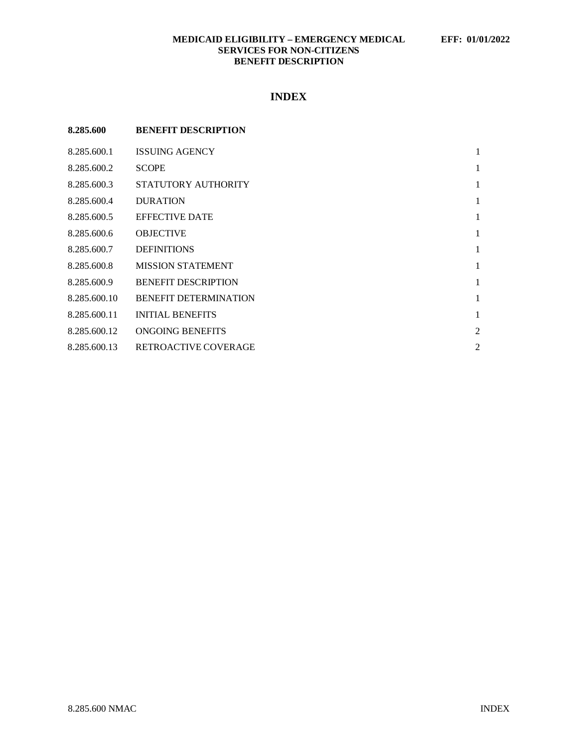# **MEDICAID ELIGIBILITY – EMERGENCY MEDICAL EFF: 01/01/2022 SERVICES FOR NON-CITIZENS BENEFIT DESCRIPTION**

# **INDEX**

| 8.285.600    | <b>BENEFIT DESCRIPTION</b>   |                |
|--------------|------------------------------|----------------|
| 8.285.600.1  | <b>ISSUING AGENCY</b>        | 1              |
| 8.285.600.2  | <b>SCOPE</b>                 | 1              |
| 8.285.600.3  | STATUTORY AUTHORITY          | 1              |
| 8.285.600.4  | <b>DURATION</b>              | 1              |
| 8.285.600.5  | <b>EFFECTIVE DATE</b>        | 1              |
| 8.285.600.6  | <b>OBJECTIVE</b>             | 1              |
| 8.285.600.7  | <b>DEFINITIONS</b>           | 1              |
| 8.285.600.8  | <b>MISSION STATEMENT</b>     | 1              |
| 8.285.600.9  | <b>BENEFIT DESCRIPTION</b>   | 1              |
| 8.285.600.10 | <b>BENEFIT DETERMINATION</b> | 1              |
| 8.285.600.11 | <b>INITIAL BENEFITS</b>      | 1              |
| 8.285.600.12 | <b>ONGOING BENEFITS</b>      | $\overline{2}$ |
| 8.285.600.13 | RETROACTIVE COVERAGE         | 2              |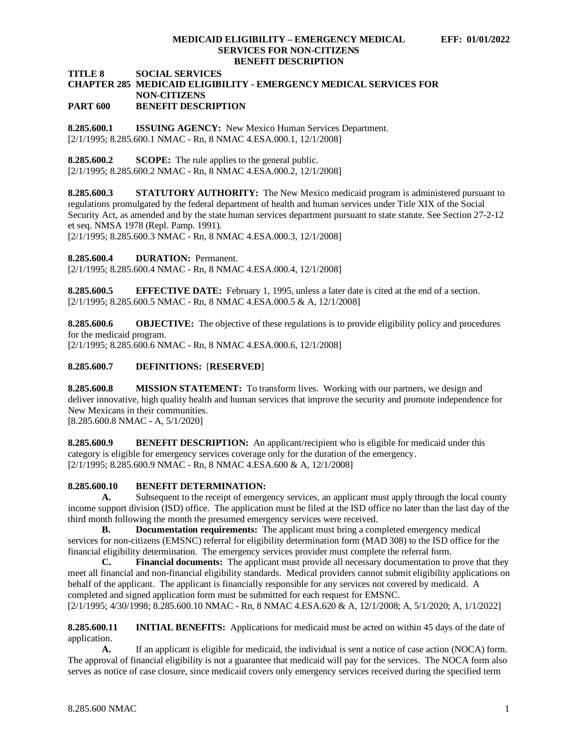#### **MEDICAID ELIGIBILITY – EMERGENCY MEDICAL EFF: 01/01/2022 SERVICES FOR NON-CITIZENS BENEFIT DESCRIPTION**

**TITLE 8 SOCIAL SERVICES**

### **CHAPTER 285 MEDICAID ELIGIBILITY - EMERGENCY MEDICAL SERVICES FOR NON-CITIZENS PART 600 BENEFIT DESCRIPTION**

<span id="page-1-0"></span>**8.285.600.1 ISSUING AGENCY:** New Mexico Human Services Department. [2/1/1995; 8.285.600.1 NMAC - Rn, 8 NMAC 4.ESA.000.1, 12/1/2008]

<span id="page-1-1"></span>**8.285.600.2 SCOPE:** The rule applies to the general public. [2/1/1995; 8.285.600.2 NMAC - Rn, 8 NMAC 4.ESA.000.2, 12/1/2008]

<span id="page-1-2"></span>**8.285.600.3 STATUTORY AUTHORITY:** The New Mexico medicaid program is administered pursuant to regulations promulgated by the federal department of health and human services under Title XIX of the Social Security Act, as amended and by the state human services department pursuant to state statute. See Section 27-2-12 et seq. NMSA 1978 (Repl. Pamp. 1991).

[2/1/1995; 8.285.600.3 NMAC - Rn, 8 NMAC 4.ESA.000.3, 12/1/2008]

<span id="page-1-3"></span>**8.285.600.4 DURATION:** Permanent.

[2/1/1995; 8.285.600.4 NMAC - Rn, 8 NMAC 4.ESA.000.4, 12/1/2008]

<span id="page-1-4"></span>**8.285.600.5 EFFECTIVE DATE:** February 1, 1995, unless a later date is cited at the end of a section. [2/1/1995; 8.285.600.5 NMAC - Rn, 8 NMAC 4.ESA.000.5 & A, 12/1/2008]

<span id="page-1-5"></span>**8.285.600.6 OBJECTIVE:** The objective of these regulations is to provide eligibility policy and procedures for the medicaid program.

[2/1/1995; 8.285.600.6 NMAC - Rn, 8 NMAC 4.ESA.000.6, 12/1/2008]

## <span id="page-1-6"></span>**8.285.600.7 DEFINITIONS:** [**RESERVED**]

<span id="page-1-7"></span>**8.285.600.8 MISSION STATEMENT:** To transform lives. Working with our partners, we design and deliver innovative, high quality health and human services that improve the security and promote independence for New Mexicans in their communities. [8.285.600.8 NMAC - A, 5/1/2020]

<span id="page-1-8"></span>**8.285.600.9 BENEFIT DESCRIPTION:** An applicant/recipient who is eligible for medicaid under this category is eligible for emergency services coverage only for the duration of the emergency. [2/1/1995; 8.285.600.9 NMAC - Rn, 8 NMAC 4.ESA.600 & A, 12/1/2008]

## <span id="page-1-9"></span>**8.285.600.10 BENEFIT DETERMINATION:**

**A.** Subsequent to the receipt of emergency services, an applicant must apply through the local county income support division (ISD) office. The application must be filed at the ISD office no later than the last day of the third month following the month the presumed emergency services were received.

**B. Documentation requirements:** The applicant must bring a completed emergency medical services for non-citizens (EMSNC) referral for eligibility determination form (MAD 308) to the ISD office for the financial eligibility determination. The emergency services provider must complete the referral form.<br> **C.** Financial documents: The applicant must provide all necessary documentation to in

**Financial documents:** The applicant must provide all necessary documentation to prove that they meet all financial and non-financial eligibility standards. Medical providers cannot submit eligibility applications on behalf of the applicant. The applicant is financially responsible for any services not covered by medicaid. A completed and signed application form must be submitted for each request for EMSNC. [2/1/1995; 4/30/1998; 8.285.600.10 NMAC - Rn, 8 NMAC 4.ESA.620 & A, 12/1/2008; A, 5/1/2020; A, 1/1/2022]

<span id="page-1-10"></span>**8.285.600.11 INITIAL BENEFITS:** Applications for medicaid must be acted on within 45 days of the date of application.

**A.** If an applicant is eligible for medicaid, the individual is sent a notice of case action (NOCA) form. The approval of financial eligibility is not a guarantee that medicaid will pay for the services. The NOCA form also serves as notice of case closure, since medicaid covers only emergency services received during the specified term